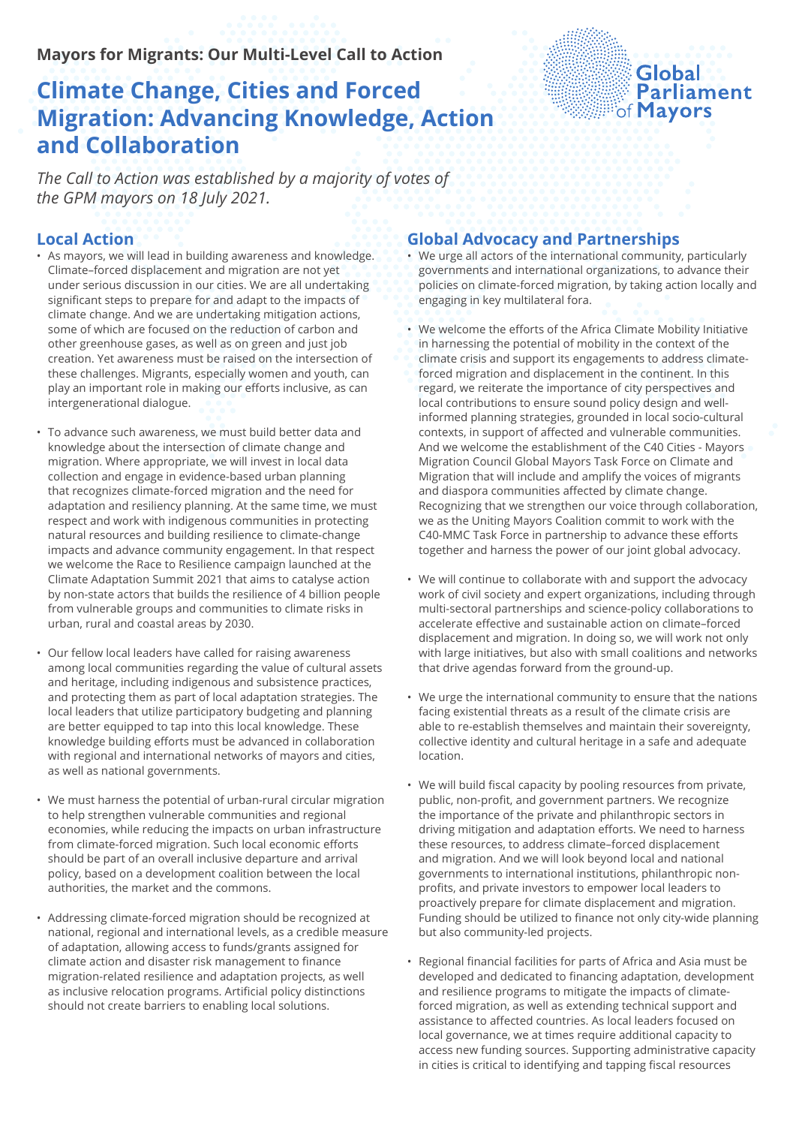### **Mayors for Migrants: Our Multi-Level Call to Action**

# **Climate Change, Cities and Forced Migration: Advancing Knowledge, Action and Collaboration**

# Global **Parliament**

*The Call to Action was established by a majority of votes of the GPM mayors on 18 July 2021.*

#### **Local Action**

- As mayors, we will lead in building awareness and knowledge. Climate–forced displacement and migration are not yet under serious discussion in our cities. We are all undertaking significant steps to prepare for and adapt to the impacts of climate change. And we are undertaking mitigation actions, some of which are focused on the reduction of carbon and other greenhouse gases, as well as on green and just job creation. Yet awareness must be raised on the intersection of these challenges. Migrants, especially women and youth, can play an important role in making our efforts inclusive, as can intergenerational dialogue.
- To advance such awareness, we must build better data and knowledge about the intersection of climate change and migration. Where appropriate, we will invest in local data collection and engage in evidence-based urban planning that recognizes climate-forced migration and the need for adaptation and resiliency planning. At the same time, we must respect and work with indigenous communities in protecting natural resources and building resilience to climate-change impacts and advance community engagement. In that respect we welcome the Race to Resilience campaign launched at the Climate Adaptation Summit 2021 that aims to catalyse action by non-state actors that builds the resilience of 4 billion people from vulnerable groups and communities to climate risks in urban, rural and coastal areas by 2030.
- Our fellow local leaders have called for raising awareness among local communities regarding the value of cultural assets and heritage, including indigenous and subsistence practices, and protecting them as part of local adaptation strategies. The local leaders that utilize participatory budgeting and planning are better equipped to tap into this local knowledge. These knowledge building efforts must be advanced in collaboration with regional and international networks of mayors and cities, as well as national governments.
- We must harness the potential of urban-rural circular migration to help strengthen vulnerable communities and regional economies, while reducing the impacts on urban infrastructure from climate-forced migration. Such local economic efforts should be part of an overall inclusive departure and arrival policy, based on a development coalition between the local authorities, the market and the commons.
- Addressing climate-forced migration should be recognized at national, regional and international levels, as a credible measure of adaptation, allowing access to funds/grants assigned for climate action and disaster risk management to finance migration-related resilience and adaptation projects, as well as inclusive relocation programs. Artificial policy distinctions should not create barriers to enabling local solutions.

#### **Global Advocacy and Partnerships**

- We urge all actors of the international community, particularly governments and international organizations, to advance their policies on climate-forced migration, by taking action locally and engaging in key multilateral fora.
- We welcome the efforts of the Africa Climate Mobility Initiative in harnessing the potential of mobility in the context of the climate crisis and support its engagements to address climateforced migration and displacement in the continent. In this regard, we reiterate the importance of city perspectives and local contributions to ensure sound policy design and wellinformed planning strategies, grounded in local socio-cultural contexts, in support of affected and vulnerable communities. And we welcome the establishment of the C40 Cities - Mayors Migration Council Global Mayors Task Force on Climate and Migration that will include and amplify the voices of migrants and diaspora communities affected by climate change. Recognizing that we strengthen our voice through collaboration, we as the Uniting Mayors Coalition commit to work with the C40-MMC Task Force in partnership to advance these efforts together and harness the power of our joint global advocacy.
- We will continue to collaborate with and support the advocacy work of civil society and expert organizations, including through multi-sectoral partnerships and science-policy collaborations to accelerate effective and sustainable action on climate–forced displacement and migration. In doing so, we will work not only with large initiatives, but also with small coalitions and networks that drive agendas forward from the ground-up.
- We urge the international community to ensure that the nations facing existential threats as a result of the climate crisis are able to re-establish themselves and maintain their sovereignty, collective identity and cultural heritage in a safe and adequate location.
- We will build fiscal capacity by pooling resources from private, public, non-profit, and government partners. We recognize the importance of the private and philanthropic sectors in driving mitigation and adaptation efforts. We need to harness these resources, to address climate–forced displacement and migration. And we will look beyond local and national governments to international institutions, philanthropic nonprofits, and private investors to empower local leaders to proactively prepare for climate displacement and migration. Funding should be utilized to finance not only city-wide planning but also community-led projects.
- Regional financial facilities for parts of Africa and Asia must be developed and dedicated to financing adaptation, development and resilience programs to mitigate the impacts of climateforced migration, as well as extending technical support and assistance to affected countries. As local leaders focused on local governance, we at times require additional capacity to access new funding sources. Supporting administrative capacity in cities is critical to identifying and tapping fiscal resources